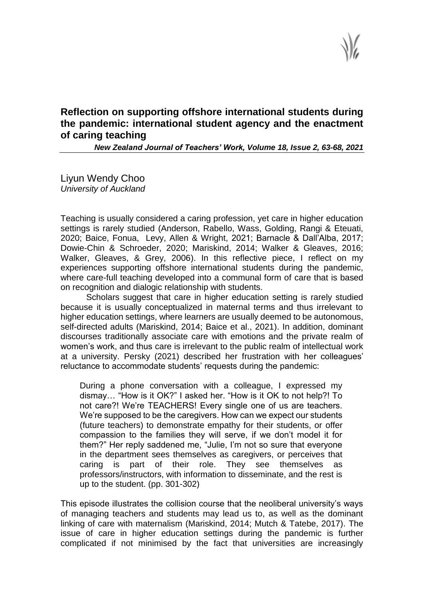**Reflection on supporting offshore international students during the pandemic: international student agency and the enactment of caring teaching**

*New Zealand Journal of Teachers' Work, Volume 18, Issue 2, 63-68, 2021*

Liyun Wendy Choo *University of Auckland*

Teaching is usually considered a caring profession, yet care in higher education settings is rarely studied (Anderson, Rabello, Wass, Golding, Rangi & Eteuati, 2020; Baice, Fonua, Levy, Allen & Wright, 2021; Barnacle & Dall'Alba, 2017; Dowie-Chin & Schroeder, 2020; Mariskind, 2014; Walker & Gleaves, 2016; Walker, Gleaves, & Grey, 2006). In this reflective piece, I reflect on my experiences supporting offshore international students during the pandemic, where care-full teaching developed into a communal form of care that is based on recognition and dialogic relationship with students.

Scholars suggest that care in higher education setting is rarely studied because it is usually conceptualized in maternal terms and thus irrelevant to higher education settings, where learners are usually deemed to be autonomous, self-directed adults (Mariskind, 2014; Baice et al., 2021). In addition, dominant discourses traditionally associate care with emotions and the private realm of women's work, and thus care is irrelevant to the public realm of intellectual work at a university. Persky (2021) described her frustration with her colleagues' reluctance to accommodate students' requests during the pandemic:

During a phone conversation with a colleague, I expressed my dismay… "How is it OK?" I asked her. "How is it OK to not help?! To not care?! We're TEACHERS! Every single one of us are teachers. We're supposed to be the caregivers. How can we expect our students (future teachers) to demonstrate empathy for their students, or offer compassion to the families they will serve, if we don't model it for them?" Her reply saddened me, "Julie, I'm not so sure that everyone in the department sees themselves as caregivers, or perceives that caring is part of their role. They see themselves as professors/instructors, with information to disseminate, and the rest is up to the student. (pp. 301-302)

This episode illustrates the collision course that the neoliberal university's ways of managing teachers and students may lead us to, as well as the dominant linking of care with maternalism (Mariskind, 2014; Mutch & Tatebe, 2017). The issue of care in higher education settings during the pandemic is further complicated if not minimised by the fact that universities are increasingly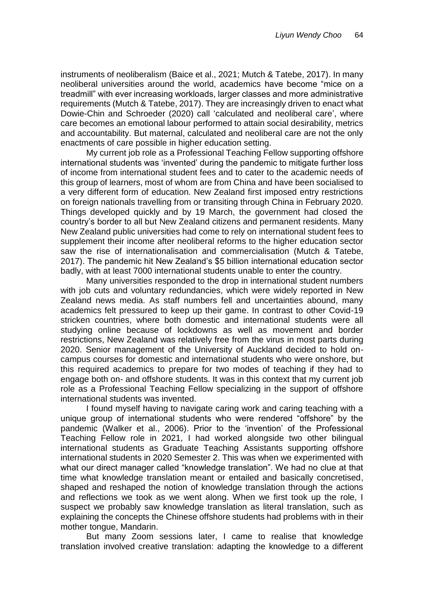instruments of neoliberalism (Baice et al., 2021; Mutch & Tatebe, 2017). In many neoliberal universities around the world, academics have become "mice on a treadmill" with ever increasing workloads, larger classes and more administrative requirements (Mutch & Tatebe, 2017). They are increasingly driven to enact what Dowie-Chin and Schroeder (2020) call 'calculated and neoliberal care', where care becomes an emotional labour performed to attain social desirability, metrics and accountability. But maternal, calculated and neoliberal care are not the only enactments of care possible in higher education setting.

My current job role as a Professional Teaching Fellow supporting offshore international students was 'invented' during the pandemic to mitigate further loss of income from international student fees and to cater to the academic needs of this group of learners, most of whom are from China and have been socialised to a very different form of education. New Zealand first imposed entry restrictions on foreign nationals travelling from or transiting through China in February 2020. Things developed quickly and by 19 March, the government had closed the country's border to all but New Zealand citizens and permanent residents. Many New Zealand public universities had come to rely on international student fees to supplement their income after neoliberal reforms to the higher education sector saw the rise of internationalisation and commercialisation (Mutch & Tatebe, 2017). The pandemic hit New Zealand's \$5 billion international education sector badly, with at least 7000 international students unable to enter the country.

Many universities responded to the drop in international student numbers with job cuts and voluntary redundancies, which were widely reported in New Zealand news media. As staff numbers fell and uncertainties abound, many academics felt pressured to keep up their game. In contrast to other Covid-19 stricken countries, where both domestic and international students were all studying online because of lockdowns as well as movement and border restrictions, New Zealand was relatively free from the virus in most parts during 2020. Senior management of the University of Auckland decided to hold oncampus courses for domestic and international students who were onshore, but this required academics to prepare for two modes of teaching if they had to engage both on- and offshore students. It was in this context that my current job role as a Professional Teaching Fellow specializing in the support of offshore international students was invented.

I found myself having to navigate caring work and caring teaching with a unique group of international students who were rendered "offshore" by the pandemic (Walker et al., 2006). Prior to the 'invention' of the Professional Teaching Fellow role in 2021, I had worked alongside two other bilingual international students as Graduate Teaching Assistants supporting offshore international students in 2020 Semester 2. This was when we experimented with what our direct manager called "knowledge translation". We had no clue at that time what knowledge translation meant or entailed and basically concretised, shaped and reshaped the notion of knowledge translation through the actions and reflections we took as we went along. When we first took up the role, I suspect we probably saw knowledge translation as literal translation, such as explaining the concepts the Chinese offshore students had problems with in their mother tongue, Mandarin.

But many Zoom sessions later, I came to realise that knowledge translation involved creative translation: adapting the knowledge to a different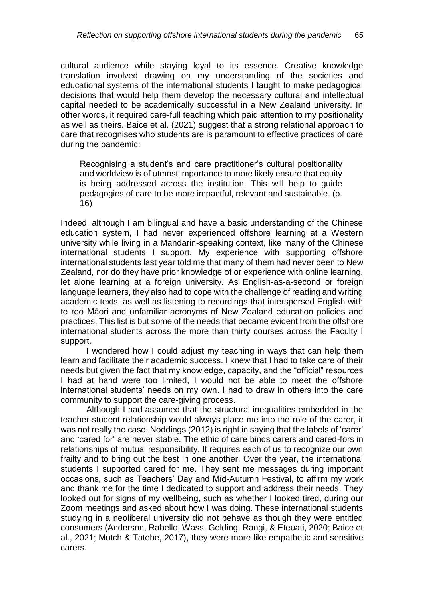cultural audience while staying loyal to its essence. Creative knowledge translation involved drawing on my understanding of the societies and educational systems of the international students I taught to make pedagogical decisions that would help them develop the necessary cultural and intellectual capital needed to be academically successful in a New Zealand university. In other words, it required care-full teaching which paid attention to my positionality as well as theirs. Baice et al. (2021) suggest that a strong relational approach to care that recognises who students are is paramount to effective practices of care during the pandemic:

Recognising a student's and care practitioner's cultural positionality and worldview is of utmost importance to more likely ensure that equity is being addressed across the institution. This will help to guide pedagogies of care to be more impactful, relevant and sustainable. (p. 16)

Indeed, although I am bilingual and have a basic understanding of the Chinese education system, I had never experienced offshore learning at a Western university while living in a Mandarin-speaking context, like many of the Chinese international students I support. My experience with supporting offshore international students last year told me that many of them had never been to New Zealand, nor do they have prior knowledge of or experience with online learning, let alone learning at a foreign university. As English-as-a-second or foreign language learners, they also had to cope with the challenge of reading and writing academic texts, as well as listening to recordings that interspersed English with te reo Māori and unfamiliar acronyms of New Zealand education policies and practices. This list is but some of the needs that became evident from the offshore international students across the more than thirty courses across the Faculty I support.

I wondered how I could adjust my teaching in ways that can help them learn and facilitate their academic success. I knew that I had to take care of their needs but given the fact that my knowledge, capacity, and the "official" resources I had at hand were too limited, I would not be able to meet the offshore international students' needs on my own. I had to draw in others into the care community to support the care-giving process.

Although I had assumed that the structural inequalities embedded in the teacher-student relationship would always place me into the role of the carer, it was not really the case. Noddings (2012) is right in saying that the labels of 'carer' and 'cared for' are never stable. The ethic of care binds carers and cared-fors in relationships of mutual responsibility. It requires each of us to recognize our own frailty and to bring out the best in one another. Over the year, the international students I supported cared for me. They sent me messages during important occasions, such as Teachers' Day and Mid-Autumn Festival, to affirm my work and thank me for the time I dedicated to support and address their needs. They looked out for signs of my wellbeing, such as whether I looked tired, during our Zoom meetings and asked about how I was doing. These international students studying in a neoliberal university did not behave as though they were entitled consumers (Anderson, Rabello, Wass, Golding, Rangi, & Eteuati, 2020; Baice et al., 2021; Mutch & Tatebe, 2017), they were more like empathetic and sensitive carers.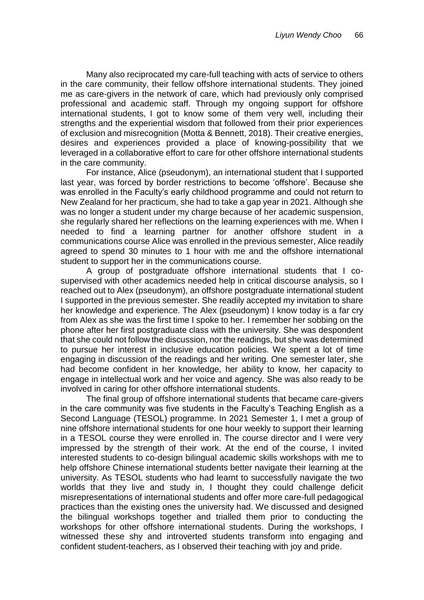Many also reciprocated my care-full teaching with acts of service to others in the care community, their fellow offshore international students. They joined me as care-givers in the network of care, which had previously only comprised professional and academic staff. Through my ongoing support for offshore international students, I got to know some of them very well, including their strengths and the experiential wisdom that followed from their prior experiences of exclusion and misrecognition (Motta & Bennett, 2018). Their creative energies, desires and experiences provided a place of knowing-possibility that we leveraged in a collaborative effort to care for other offshore international students in the care community.

For instance, Alice (pseudonym), an international student that I supported last year, was forced by border restrictions to become 'offshore'. Because she was enrolled in the Faculty's early childhood programme and could not return to New Zealand for her practicum, she had to take a gap year in 2021. Although she was no longer a student under my charge because of her academic suspension, she regularly shared her reflections on the learning experiences with me. When I needed to find a learning partner for another offshore student in a communications course Alice was enrolled in the previous semester, Alice readily agreed to spend 30 minutes to 1 hour with me and the offshore international student to support her in the communications course.

A group of postgraduate offshore international students that I cosupervised with other academics needed help in critical discourse analysis, so I reached out to Alex (pseudonym), an offshore postgraduate international student I supported in the previous semester. She readily accepted my invitation to share her knowledge and experience. The Alex (pseudonym) I know today is a far cry from Alex as she was the first time I spoke to her. I remember her sobbing on the phone after her first postgraduate class with the university. She was despondent that she could not follow the discussion, nor the readings, but she was determined to pursue her interest in inclusive education policies. We spent a lot of time engaging in discussion of the readings and her writing. One semester later, she had become confident in her knowledge, her ability to know, her capacity to engage in intellectual work and her voice and agency. She was also ready to be involved in caring for other offshore international students.

The final group of offshore international students that became care-givers in the care community was five students in the Faculty's Teaching English as a Second Language (TESOL) programme. In 2021 Semester 1, I met a group of nine offshore international students for one hour weekly to support their learning in a TESOL course they were enrolled in. The course director and I were very impressed by the strength of their work. At the end of the course, I invited interested students to co-design bilingual academic skills workshops with me to help offshore Chinese international students better navigate their learning at the university. As TESOL students who had learnt to successfully navigate the two worlds that they live and study in, I thought they could challenge deficit misrepresentations of international students and offer more care-full pedagogical practices than the existing ones the university had. We discussed and designed the bilingual workshops together and trialled them prior to conducting the workshops for other offshore international students. During the workshops, I witnessed these shy and introverted students transform into engaging and confident student-teachers, as I observed their teaching with joy and pride.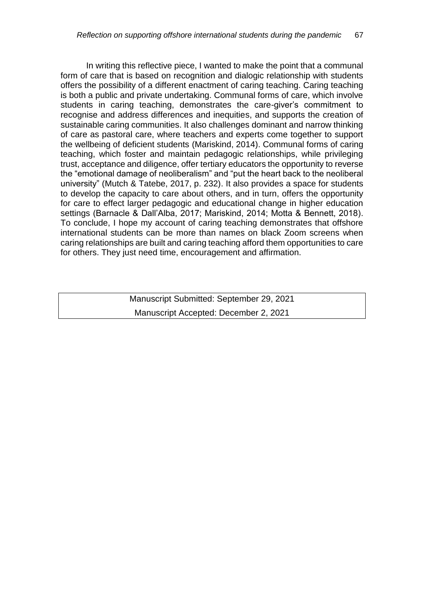In writing this reflective piece, I wanted to make the point that a communal form of care that is based on recognition and dialogic relationship with students offers the possibility of a different enactment of caring teaching. Caring teaching is both a public and private undertaking. Communal forms of care, which involve students in caring teaching, demonstrates the care-giver's commitment to recognise and address differences and inequities, and supports the creation of sustainable caring communities. It also challenges dominant and narrow thinking of care as pastoral care, where teachers and experts come together to support the wellbeing of deficient students (Mariskind, 2014). Communal forms of caring teaching, which foster and maintain pedagogic relationships, while privileging trust, acceptance and diligence, offer tertiary educators the opportunity to reverse the "emotional damage of neoliberalism" and "put the heart back to the neoliberal university" (Mutch & Tatebe, 2017, p. 232). It also provides a space for students to develop the capacity to care about others, and in turn, offers the opportunity for care to effect larger pedagogic and educational change in higher education settings (Barnacle & Dall'Alba, 2017; Mariskind, 2014; Motta & Bennett, 2018). To conclude, I hope my account of caring teaching demonstrates that offshore international students can be more than names on black Zoom screens when caring relationships are built and caring teaching afford them opportunities to care for others. They just need time, encouragement and affirmation.

> Manuscript Submitted: September 29, 2021 Manuscript Accepted: December 2, 2021